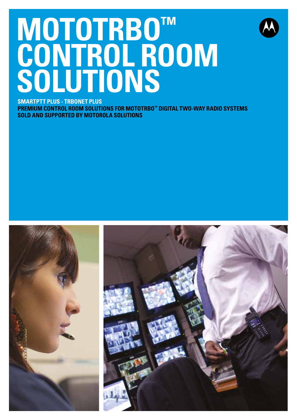# **MOTOTRBO™ CONTROL ROOM SOLUTIONS SMARTPTT PLUS - TRBONET PLUS**



**PREMIUM CONTROL ROOM SOLUTIONS FOR MOTOTRBO™ DIGITAL TWO-WAY RADIO SYSTEMS SOLD AND SUPPORTED BY MOTOROLA SOLUTIONS**

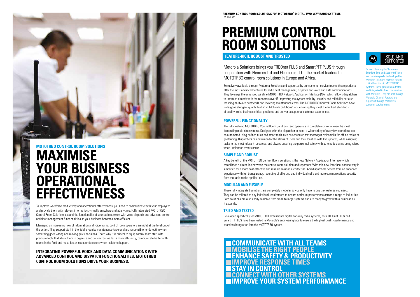

## **MOTOTRBO CONTROL ROOM SOLUTIONS MAXIMISE YOUR BUSINESS OPERATIONAL EFFECTIVENESS**

To improve workforce productivity and operational effectiveness, you need to communicate with your employees and provide them with relevant information, virtually anywhere and at anytime. Fully integrated MOTOTRBO Control Room Solutions expand the functionality of your radio network with voice dispatch and advanced control and fleet management functionalities so your business becomes more efficient.

Managing an increasing flow of information and voice traffic, control room operators are right at the forefront of the action. They support staff in the field, organise maintenance tasks and are responsible for detecting when something goes wrong and making quick decisions. That's why it is critical to equip control room staff with premium tools that allow them to organise and deliver routine tasks more efficiently, communicate better with teams in the field and make faster, sounder decisions when incidents happen.

## **INTEGRATING POWERFUL VOICE AND DATA COMMUNICATIONS WITH ADVANCED CONTROL AND DISPATCH FUNCTIONALITIES, MOTOTRBO CONTROL ROOM SOLUTIONS DRIVE YOUR BUSINESS.**

## **PREMIUM CONTROL ROOM SOLUTIONS**

**FEATURE-RICH, ROBUST AND TRUSTED**

 **COMMUNICATE WITH ALL TEAMS MOBILISE THE RIGHT PEOPLE ENHANCE SAFETY & PRODUCTIVITY IMPROVE RESPONSE TIMES STAY IN CONTROL CONNECT WITH OTHER SYSTEMS IMPROVE YOUR SYSTEM PERFORMANCE**





Motorola Solutions brings you TRBOnet PLUS and SmartPTT PLUS through cooperation with Neocom Ltd and Elcomplus LLC - the market leaders for MOTOTRBO control room solutions in Europe and Africa.

Exclusively available through Motorola Solutions and supported by our customer service teams, these products offer the most advanced features for radio fleet management, dispatch and voice and data communications. They leverage the enhanced wireline MOTOTRBO Network Application Interface (NAI) which allows dispatchers to interface directly with the repeaters over IP, improving the system stability, security and reliability but also reducing hardware overheads and lowering maintenance costs. The MOTOTRBO Control Room Solutions have undergone stringent quality testing in Motorola Solutions' labs ensuring they meet the highest standards of quality, solve business critical problems and deliver exceptional customer experiences.

Products bearing the "Motorola Solutions Sold and Supported" logo are premium products developed by Motorola Solutions partners to fulfil critical functions in MOTOTRBO ems. These products are tested and integrated in direct cooperation with Motorola. They are sold through Motorola Channel Partners and supported through Motorola's customer service teams.

## **POWERFUL FUNCTIONALITY**

The fully featured MOTOTRBO Control Room Solutions keep operators in complete control of even the most demanding multi-site systems. Designed with the dispatcher in mind, a wide variety of everyday operations can be automated using defined rules and smart tools such as scheduled text messages, voicemails for offline radios or geofencing. Dispatchers can now monitor the status of users and their location with live updates, while assigning tasks to the most relevant resources, and always ensuring the personnel safety with automatic alarms being raised when unplanned events occur.

## **SIMPLE AND ROBUST**

A key benefit of the MOTOTRBO Control Room Solutions is the new Network Application Interface which establishes a direct link between the control room solution and repeaters. With this new interface, connectivity is simplified for a more cost-effective and reliable solution architecture. And dispatchers benefit from an enhanced experience with full transparency, recording of all group and individual calls and more communications security from the radio to the application.

## **MODULAR AND FLEXIBLE**

These fully integrated solutions are completely modular so you only have to buy the features you need. They can be tailored to any individual requirement to ensure optimum performance across a range of industries. Both solutions are also easily scalable from small to large systems and are ready to grow with a business as it expands.

## **TRIED AND TESTED**

Developed specifically for MOTOTRBO professional digital two-way radio systems, both TRBOnet PLUS and SmartPTT PLUS have been tested in Motorola's engineering labs to ensure the highest quality performance and seamless integration into the MOTOTRBO system.

**PREMIUM CONTROL ROOM SOLUTIONS FOR MOTOTRBO™ DIGITAL TWO-WAY RADIO SYSTEMS** OVERVIEW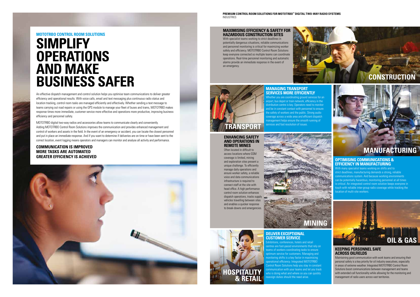### **MOTOTRBO CONTROL ROOM SOLUTIONS**

## **SIMPLIFY OPERATIONS AND MAKE BUSINESS SAFER**

An effective dispatch management and control solution helps you optimise team communications to deliver greater efficiency and operational results. With voice calls, email and text messaging plus continuous radio status and location tracking, control room tasks are managed efficiently and effectively. Whether sending a text message to teams carrying out road repairs or using the GPS module to manage your fleet of buses and trams, MOTOTRBO makes response times more immediate, customer service more effective and operations more productive, improving business efficiency and personnel safety.

**PREMIUM CONTROL ROOM SOLUTIONS FOR MOTOTRBO™ DIGITAL TWO-WAY RADIO SYSTEMS INDUSTRIES** 

> Exhibitions, conferences, hotels and retail re fast-paced environments that rely on ns of workers coordinating tasks to ensure optimum service for customers. Managing and monitoring shifts is a key factor in maximising operational efficiency. Integrated MOTOTRBO ontrol Room Solutions help you stay in constant communication with your teams and let you track who is doing what and where so you can quickly  $\frac{1}{2}$  assign duties should the need arise.

MOTOTRBO digital two-way radios and accessories allow teams to communicate clearly and conveniently. Adding MOTOTRBO Control Room Solutions improves the communication and provides enhanced management and control of workers and assets in the field. In the event of an emergency or accident, you can locate the closest personnel and put in place an immediate response. And if you want to determine if deliveries are on time or have been sent to the correct location, event logging means operators and managers can monitor and analyse all activity and performance.

## **COMMUNICATION IS IMPROVED MORE TASKS ARE AUTOMATED GREATER EFFICIENCY IS ACHIEVED**



With specialist teams working to strict deadlines in potentially dangerous situations, reliable communications and personnel monitoring is critical for maximizing worker safety and efficiency. MOTOTRBO Control Room Solutions keep everyone connected so multiple teams can coordinate operations. Real-time personnel monitoring and automatic alarms provide an immediate response in the event of an emergency.

> With many specialist teams working on shifts and to strict deadlines, manufacturing demands a strong, reliable communications system. And because working environments can be potentially hazardous, monitoring personnel at all times s critical. An integrated control room solution keeps everyone in ouch with reliable inter-group radio coverage while tracking the ocation of multi-site workers.

Whether you are coordinating ground services for an airport, bus depot or train network, efficiency in the distribution centre is key. Operators need to monitor and be in constant contact with personnel to ensure the safety of workers and the public. Strong audio coverage across a wide area and efficient dispatch management helps ensure the smooth running of



## **DELIVER EXCEPTIONAL CUSTOMER SERVICE**

### **MAXIMISING EFFICIENCY & SAFETY FOR HAZARDOUS CONSTRUCTION SITES**



## **OPTIMISING COMMUNICATIONS & EFFICIENCY IN MANUFACTURING**

## **KEEPING PERSONNEL SAFE ACROSS OILFIELDS**

Maintaining good communication with work teams and ensuring their personal safety is a key priority for oil industry executives, especially in areas of extreme weather. Integrated MOTOTRBO Control Room Solutions boost communications between management and teams with extended call functionality while allowing for the monitoring and management of radio users across vast territories.

## **ENHANCING SAFETY AND OPERATIONS IN REMOTE MINES**

Often located in difficult to access locations where GSM coverage is limited, mining and exploration sites present a unique challenge. To efficiently manage daily operations and ensure worker safety, a reliable voice and data communications infrastructure is required to connect staff at the site with head office. A high performance control room solution enhances dispatch operations, tracks supply vehicles travelling between sites and enables a quicker response to break-downs and emergencies.









## **MANUFACTURING**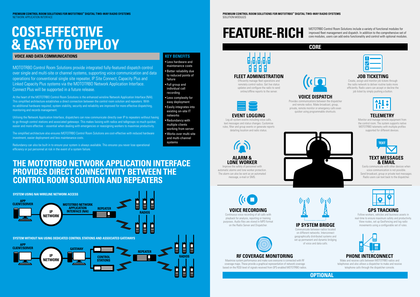## **COST-EFFECTIVE & EASY TO DEPLOY**

## **VOICE AND DATA COMMUNICATIONS** *KEY BENEFITS*

## **THE MOTOTRBO NETWORK APPLICATION INTERFACE PROVIDES DIRECT CONNECTIVITY BETWEEN THE CONTROL ROOM SOLUTION AND REPEATERS**

MOTOTRBO Control Room Solutions provide integrated fully-featured dispatch control over single and multi-site or channel systems, supporting voice communication and data operations for conventional single site repeater, IP Site Connect, Capacity Plus and Linked Capacity Plus systems via the MOTOTRBO Network Application Interface. Connect Plus will be supported in a future release.

At the heart of the MOTOTRBO Control Room Solutions is the enhanced wireline Network Application Interface (NAI). This simplified architecture establishes a direct connection between the control room solution and repeaters. With no additional hardware required, system stability, security and reliability are improved for more effective dispatching, monitoring and records management.

Utilising the Network Application Interface, dispatchers can now communicate directly over IP to repeaters without having to go through control stations and associated gateways. This makes liaising with radios and talkgroups so much quicker, easier and more effective – essential when dealing with emergencies or reassigning workers to maximise productivity.

Log all system events including voice calls, text messages and status changes. Customise rules, filter and group events or generate reports detailing location and radio status.



The simplified architecture also ensures MOTOTRBO Control Room Solutions are cost-effective with reduced hardware investment, easier deployment and less maintenance costs.

Redundancy can also be built in to ensure your system is always available. This ensures you never lose operational efficiency or put personnel at risk in the event of a system failure.

MOTOTRBO Control Room Solutions include a variety of functional modules for improved fleet management and dispatch. In addition to the comprehensive set of core modules, users can add extra functionality and control with optional modules.



**PREMIUM CONTROL ROOM SOLUTIONS FOR MOTOTRBO™ DIGITAL TWO-WAY RADIO SYSTEMS** SOLUTION MODULES

## **CORE**





# **FEATURE-RICH**



**VOICE DISPATCH** Provides communications between the dispatcher and remote radios. Make broadcast, group,

private, remote monitor or emergency calls even quicker using programmable shortcuts.

## **EVENT LOGGING**



Monitor and manage remote equipment from the control room. The system supports native MOTOTRBO telemetry with multiple profiles supported for different devices.

## **ALARM & LONE WORKER**

Improve the safety of personnel with automatic alarms and lone worker protection. The alarm can also be sent as an automated message, e-mail or SMS.



# **VOICE RECORDING**

Continuous voice recording of all calls with playback for analysis, reporting or training purposes. Audio files are stored in MP3 format on the Radio Server and Dispatcher.



## **RF COVERAGE MONITORING**

Maximise system performance and make sure everyone is connected with RF coverage maps. These provide a graphical representation of network coverage based on the RSSI level of signals received from GPS-enabled MOTOTRBO radios.

## **PHONE INTERCONNECT**

Make and receive calls between MOTOTRBO radios and telephones and also allows a dispatcher to make and receive telephone calls through the dispatcher console.

## **IP SYSTEM BRIDGE**

Communicate between radios located on different networks. Interconnect geographically distributed systems and set up permanent and dynamic bridging of voice and data calls.

## **GPS TRACKING**

Follow workers, vehicles and business assets in real-time to ensure maximum safety and productivity. View routes, set up GeoFencing and log radio movements using a configurable set of rules.



## **FLEET ADMINISTRATION**

Efficiently manage fleet operations and remotely control radios. Get live status updates and configure the radio to send online/offline reports to the server.





### Create, assign and monitor job tickets through the radio network to deliver routine tasks more efficiently. Radio users can accept or decline the job ticket by simply pushing a button.



Easily communicate with other devices when voice communication is not possible. Send broadcast, group or private text messages. Radio users can text back to the dispatcher.





• Less hardware and maintenance costs

- Better reliability due to reduced points of
- failure • Full group and individual call recording
- Less complexity for easy deployment
- Easily integrates into existing on-site IT networks
- Redundancy with multiple clients working from server
- Works over multi-site and multi-channel systems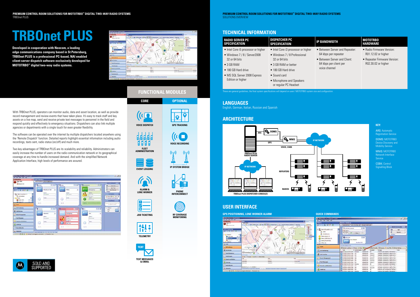

# **TRBOnet PLUS**

**Developed in cooperation with Neocom, a leading edge communications company based in St Petersburg, TRBOnet PLUS is a professional PC-based, NAI enabled client-server dispatch software exclusively developed for MOTOTRBO™ digital two-way radio systems.**



## **ARCHITECTURE**

## **LANGUAGES**

**English, German, Italian, Russian and Spanish** 

## **TECHNICAL INFORMATION**

ARS: Automatic **Registration Service** 

## **HARDWARE**

| <b>RADIO SERVER PC</b><br><b>SPECIFICATION</b>                                                                                                                                         | <b>DISPATCHER PC</b><br><b>SPECIFICATION</b>                                                                                                                                                                      | <b>IP BANDWIDTH</b>                                                                                                               | <b>MOTOTRBO</b><br><b>HARDWARE</b>                             |
|----------------------------------------------------------------------------------------------------------------------------------------------------------------------------------------|-------------------------------------------------------------------------------------------------------------------------------------------------------------------------------------------------------------------|-----------------------------------------------------------------------------------------------------------------------------------|----------------------------------------------------------------|
| • Intel Core i5 processor or higher<br>• Windows 7 / 8 / Server2008<br>32 or 64 bits<br>$\bullet$ 3 GB RAM<br>• 180 GB Hard drive<br>• MS SQL Server 2008 Express<br>Edition or higher | • Intel Core i3 processor or higher<br>• Windows 7 / 8 Professional<br>32 or 64 bits<br>• 3 GB RAM or better<br>• 180 GB Hard drive<br>$\bullet$ Sound card<br>• Microphone and Speakers<br>or regular PC Headset | • Between Server and Repeater:<br>64 kbps per repeater<br>• Between Server and Client:<br>64 kbps per client per<br>voice channel | $\bullet$ Radio Firm<br>R01.12.02<br>• Repeater F<br>R02.30.02 |
|                                                                                                                                                                                        | These are general quidelines, the final system specifications will depend on users' MOTOTRBO system size and configuration.                                                                                       |                                                                                                                                   |                                                                |

- Between Server and Repeater: 64 kbps per repeater
- Between Server and Client: 64 kbps per client per voice channel
- Radio Firmware Version: R01.12.02 or higher
- Repeater Firmware Version: R02.30.02 or higher



## **KEY:**

DDMS: MOTOTRBO Device Discovery and Mobility Service

MNIS: MOTOTRBO Network Interface Service

CSBK: Control Signalling Block



## **USER INTERFACE**

### **QUICK COMMANDS**

| by New York Sock Add                                                                                                                             | and continued and                                                                                                                                                                                                                                                                                                                                 |
|--------------------------------------------------------------------------------------------------------------------------------------------------|---------------------------------------------------------------------------------------------------------------------------------------------------------------------------------------------------------------------------------------------------------------------------------------------------------------------------------------------------|
| tadio                                                                                                                                            | Radio Interface                                                                                                                                                                                                                                                                                                                                   |
| <b>SHAKY C</b>                                                                                                                                   | Chain top has been been the proof of the series                                                                                                                                                                                                                                                                                                   |
| <b>Collect Deadless (2)</b><br>1409<br>Administration<br>Delina, Buttorrilli<br>Denise, CPS Paul (6)<br>Deline, 412-073 (St.<br>Office (8)<br>ÞВ | л<br><b>DAILY COURSE</b><br>阪<br>庄縣<br>Or sor betalesmaker<br>÷<br>Θ<br><b>M-F</b><br>$-4444$<br>$+ -$<br>в<br>Telenelin<br>m<br><b>ALL ALL ON ULBER</b><br><b>ATTN:</b><br><b>CACTELLE</b><br>田彦<br><b>Californians</b><br><b>Extra disposal</b><br>188<br><b>Bushall</b> Call<br>и                                                              |
| La Sade                                                                                                                                          | <b>Receipt Laike Buyers</b><br>빏<br><b>Che To Lake: 20 August 10 August 20 Avias To Delaye To Che Avid Toyota</b><br>There is no line from free when                                                                                                                                                                                              |
| US SCUTOFFERING                                                                                                                                  | ٠<br>M. Control Station<br><b>SANTH</b><br>temperat<br><b>SURA</b><br>Tiemnan<br>LEFT LOS ES ABAYLIBURE<br>×.<br>tracce calcomater Atwarder<br>Advertising<br><b>EVERYON</b>                                                                                                                                                                      |
| <b>An Intellige</b>                                                                                                                              | LENGTH CHAPTER REPORT<br>inglebber "Adversionen" calls group Va<br>1,099<br><b>United \$1</b><br>Atlantatorica<br>LEWIS CONTRACTOR<br><b>LOB</b><br>Dispolishers "Achwaredereiter" reikk group für<br><b>Sheep 13</b><br>Achametrone                                                                                                              |
| <b>Bristo Hongarmered</b>                                                                                                                        | 12/10/2010 0:04:28:08<br><b>LOP</b><br>Depublier "Administrator" calls apprais für<br><b>Dogs II</b><br>Antelleledy situal<br>(2) (4) 2013 FA24-27 PM<br>DOP.<br>Depubliker "Advertistischen" dalle group für<br>Achebrali arist<br>010011                                                                                                        |
| <b>Tant Hesiages</b>                                                                                                                             | (2730)2713 5(24) 38786<br>Desattifico "Adversivation" calls group fils<br>Dog II<br>LCP.<br><b>AZMRRSUM</b><br>LIFINADO ED INDIA EXISMI<br>regulations "Automorphone" chalk groups far<br><b>A/WWARFUTAR</b><br>DAM 11<br>1,4798                                                                                                                  |
| <b>C. Bayerly and Matistics</b>                                                                                                                  | EDITALOGICAL DI-REL-RALANE<br>$\overline{a}$<br>Internet Call: Dentable/ Schemistrator<br><b>Distances</b><br>A Territo di scice<br>1115-5612 Mildred driver<br>Deposition "Achevertration" cash groups for<br>LICK.<br><b>Activersale</b> writer<br>Group 11                                                                                     |
| <b>Forest Eng.</b>                                                                                                                               | LEVELORIES SOUGHUNN<br>from 12<br>Departures "Advanced with "calls or tour "Britton"<br>œ<br><b>Automatical series</b><br>12/5/2012 12:00:30 RM<br>bookset of his durable 'Abbay<br><b>US</b><br>$\lambda$<br>Administrator<br>12010812-0090138199<br>Intercei Cals Department Pelminekaton<br>$^{46}$<br><b>BIGHTIN</b><br><b>Achieners</b> sing |

With TRBOnet PLUS, operators can monitor audio, data and asset location, as well as provide record management and review events that have taken place. It's easy to track staff and key assets on a live map, send and receive private text messages to personnel in the field and respond quickly and effectively to emergency situations. Dispatchers can also link multiple agencies or departments with a single touch for even greater flexibility.

The software can be operated over the internet by multiple dispatchers located anywhere using the 'Remote Dispatch' function. Detailed reports highlight essential information including audio recordings, texts sent, radio status (on/off) and much more.

Two key advantages of TRBOnet PLUS are its scalability and reliability. Administrators can easily increase the number of users on the radio communication network or its geographical coverage at any time to handle increased demand. And with the simplified Network Application Interface, high levels of performance are assured.

| <b>ATTENTION</b>                                                                                                                                    | <b>Radio Interface</b>                         |                                |                                                     |                |                                                                                                     |                                                                                                                                                         |
|-----------------------------------------------------------------------------------------------------------------------------------------------------|------------------------------------------------|--------------------------------|-----------------------------------------------------|----------------|-----------------------------------------------------------------------------------------------------|---------------------------------------------------------------------------------------------------------------------------------------------------------|
| <b>Tinde 2007</b><br><b>Q-Immercial</b>                                                                                                             | <b>Rady Scholard Edmonton Parks</b><br>Bellist | 日司區                            | <b>College</b>                                      | 同同語            | <b>El minerano</b>                                                                                  | <b>Stabili Emperantist</b><br>日道<br>Ŀ,<br><b>INVTHA</b>                                                                                                 |
| <b>Tiede</b><br><b>QERA RY 0</b>                                                                                                                    | ш                                              | <b>Resultant Call</b><br>×     | 42<br><b>Polkin</b>                                 | ×              | PTT<br><b>Distancepoint V</b>                                                                       | 薩<br>land Taxa<br>н<br><b>Mount Forest Line</b><br><b>Listhask</b>                                                                                      |
| of the Sea Disease of the<br>St. Atministrator<br>$=$ $\frac{1}{24}$ Price<br>理<br><b>B</b> Rudo EXIX<br>提供<br>京立局<br><b>SR PART ENT</b><br>(b) max | <b>Service</b><br>ö<br>m<br>Ġ<br>46.79         | ter dans                       | <b>Joseph</b><br>last clusters<br>m.<br>э<br>Au ros |                | -<br>×.<br><b>Provident</b><br><b>Brauser</b><br><b>DESCRIPTION</b><br><b>SPASSFIELD</b><br>Altrite | <b>Vid Phoenikee</b><br>a bear with the B<br>To Second Contact messes<br><b>CrossPalvin</b><br>This art is that the third fields<br>to allow the golds. |
| <b>AL SPERIMENT</b>                                                                                                                                 | <b>Columns</b>                                 | 日向部                            | Giancona                                            | <b>SDF</b>     | 印印刷<br><b>Editor</b>                                                                                | <b>Disease</b><br>×                                                                                                                                     |
| <b>C</b> Military                                                                                                                                   |                                                |                                |                                                     |                |                                                                                                     | Mai<br><b>PITT</b><br>her.                                                                                                                              |
| <b>Books Hampsons</b>                                                                                                                               | $\mathbf{v}$                                   | ×<br><b>Channels</b>           | 48<br><b>Enterprises</b>                            | $\blacksquare$ | <b>Firm</b>                                                                                         | ×                                                                                                                                                       |
| <b>Text Research</b>                                                                                                                                | <b>Second</b>                                  | <b><i>Carolina Company</i></b> | <b>September</b>                                    |                | 384411<br>Fee during                                                                                |                                                                                                                                                         |
| d Augusta and Matterson                                                                                                                             | inter-                                         |                                | Present<br><b>SALE</b>                              |                | in war                                                                                              |                                                                                                                                                         |
| <b>Collective</b>                                                                                                                                   | 0<br>n.                                        |                                | ο<br><b><i>Isabe Stat</i></b>                       | ÷              |                                                                                                     |                                                                                                                                                         |
| <b>The Audio Allocation</b>                                                                                                                         | m/Vc                                           |                                | <b>BB (75)</b>                                      |                | \$17.99                                                                                             |                                                                                                                                                         |
| <b>C. MINIST</b>                                                                                                                                    | <b>Report Call Road</b> C                      | TALCO SAFE                     |                                                     |                |                                                                                                     |                                                                                                                                                         |



## **FUNCTIONAL MODULES**





**JOB TICKETING**





| <b>CORE</b>                             | <b>OPTIONAL</b>                                            |
|-----------------------------------------|------------------------------------------------------------|
| $(\mathbf{C})$<br><b>VOICE DISPATCH</b> | <b>GPS TRACKING</b>                                        |
| <b>FLEET</b><br><b>ADMINISTRATION</b>   | $(i \bigcirc$<br><b>VOICE RECORDI</b><br>$(\mathfrak{c}_1$ |
| <b>EVENT LOGGING</b>                    | <b>IP SYSTEM BRID</b>                                      |
|                                         |                                                            |

**& EMAIL**



**MONITORING**







**PHONE INTERCONNECT**

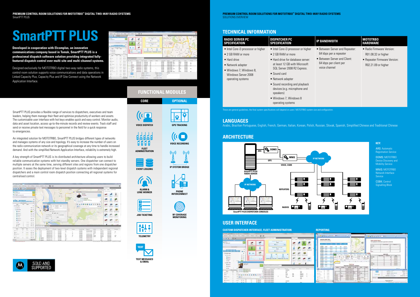**PREMIUM CONTROL ROOM SOLUTIONS FOR MOTOTRBO™ DIGITAL TWO-WAY RADIO SYSTEMS** SOLUTIONS OVERVIEW

# **SmartPTT PLUS**



## **ARCHITECTURE**

## **TECHNICAL INFORMATION**

**CUSTOM DISPATCHER INTERFACE, FLEET ADMINISTRATION REPORTING** 母里 あおもさりの  $48$  $- 112$  $\sigma$ E.  $rac{1}{2}$ **SP**  $P$ allillian .. **ALC**  $\omega$ 28 答  $+ \rightarrow$ iiiiiiii **ALC** an.  $\sim$  $\mathbf{v}$ **Feb**  $\left| \right|$ **HEISER** alla  $\frac{1}{16}$  $-1004444444-0.47$  $1 -$ 

MNIS: MOTOTRBO Network Interface **Service** 

- Between Server and Repeater: 64 kbps per a repeater
- Between Server and Client: 64 kbps per client per voice channel

 $((\Box$ **VOICE DISPATCH** d.d.d.d.d THE T **FLEET ADMINISTRATION**

- Radio Firmware Version: R01.08.32 or higher
- Repeater Firmware Version: R02.21.09 or higher

**Developed in cooperation with Elcomplus, an innovative communications company based in Tomsk, SmartPTT PLUS is a professional dispatch software solution providing integrated fullyfeatured dispatch control over multi-site and multi-channel systems.** 

Designed exclusively for MOTOTRBO digital two-way radio systems, this control room solution supports voice communications and data operations in Linked Capacity Plus, Capacity Plus and IP Site Connect using the Network Application Interface.

| <b>Branch comment</b><br><b>COMPANY</b><br>. Dec. Limite . Jon. . West |                                                                                                                           |                        | $\frac{1}{2} \left( \frac{1}{2} \right) \left( \frac{1}{2} \right) \left( \frac{1}{2} \right) \left( \frac{1}{2} \right) \left( \frac{1}{2} \right)$ | $-44$ m<br>me.                                |                                             |                                            | --                         |                      |                                                                                                |                                |                                 |               |  |
|------------------------------------------------------------------------|---------------------------------------------------------------------------------------------------------------------------|------------------------|------------------------------------------------------------------------------------------------------------------------------------------------------|-----------------------------------------------|---------------------------------------------|--------------------------------------------|----------------------------|----------------------|------------------------------------------------------------------------------------------------|--------------------------------|---------------------------------|---------------|--|
| A1414<br><b>Killin</b>                                                 |                                                                                                                           |                        |                                                                                                                                                      |                                               |                                             |                                            |                            |                      | $\frac{1}{2} \left( \frac{1}{2} \right) \left( \frac{1}{2} \right) \left( \frac{1}{2} \right)$ |                                |                                 |               |  |
| <b>MILLE</b>                                                           |                                                                                                                           |                        |                                                                                                                                                      | ail                                           |                                             | <b>State Lagac Minister</b><br><b>Port</b> |                            | <b>Re</b>            |                                                                                                |                                |                                 |               |  |
|                                                                        |                                                                                                                           |                        | u                                                                                                                                                    |                                               |                                             | 8.1.1                                      |                            |                      |                                                                                                |                                |                                 |               |  |
| -                                                                      |                                                                                                                           | ョ                      | ı                                                                                                                                                    | فيق                                           |                                             | political develop                          |                            |                      | $-$                                                                                            |                                |                                 |               |  |
|                                                                        |                                                                                                                           | $\blacksquare$         |                                                                                                                                                      | <b>SURFACE</b>                                |                                             | <b>Allen</b>                               |                            |                      | 华                                                                                              |                                |                                 |               |  |
| $-00000000$                                                            |                                                                                                                           | ٠                      |                                                                                                                                                      |                                               |                                             | 9111                                       |                            |                      |                                                                                                |                                |                                 |               |  |
|                                                                        |                                                                                                                           |                        |                                                                                                                                                      |                                               |                                             |                                            |                            |                      |                                                                                                | $-1$<br>$\sim$                 |                                 |               |  |
| $\overline{1}$<br>$-$                                                  | -                                                                                                                         |                        |                                                                                                                                                      |                                               |                                             |                                            |                            | ٠                    |                                                                                                | a                              |                                 | AT REAL       |  |
| A close a suite                                                        |                                                                                                                           | $\alpha$               | a                                                                                                                                                    |                                               | <b>START</b>                                |                                            | <b>START</b>               |                      |                                                                                                |                                |                                 |               |  |
| 7 J Britain                                                            |                                                                                                                           | $49 - 10$              | <b>Simula</b><br>-                                                                                                                                   | $+11$                                         |                                             |                                            |                            |                      |                                                                                                |                                |                                 |               |  |
| $+1.400001$                                                            |                                                                                                                           |                        |                                                                                                                                                      |                                               |                                             |                                            |                            |                      |                                                                                                |                                | ٠                               |               |  |
| $\rightarrow$<br>-                                                     | m                                                                                                                         | $-0.1$                 |                                                                                                                                                      |                                               |                                             |                                            |                            |                      |                                                                                                |                                |                                 |               |  |
| 4/10                                                                   | <b>Service</b>                                                                                                            | $-$                    |                                                                                                                                                      |                                               |                                             |                                            |                            |                      | <b>ABL</b>                                                                                     |                                | <b>WALLER IS.</b>               |               |  |
| $\sim$<br>di total                                                     | $\frac{1}{2} \left( \frac{1}{2} \right) \left( \frac{1}{2} \right) \left( \frac{1}{2} \right) \left( \frac{1}{2} \right)$ | 80.16                  | Winner Aurorang 20 mm com                                                                                                                            |                                               |                                             |                                            |                            |                      |                                                                                                |                                |                                 |               |  |
| ٠<br>$\frac{1}{2}$                                                     | $-$                                                                                                                       | att.<br>$\overline{a}$ | -                                                                                                                                                    |                                               |                                             |                                            |                            |                      |                                                                                                |                                |                                 |               |  |
| <b>Business</b><br>٠                                                   | $\frac{1}{2}$                                                                                                             | m<br>٠                 |                                                                                                                                                      | <b>ANGEL</b><br>a lots.<br><b>ANNA (14-A)</b> | <b>Jimmy Harry</b>                          | <b>Training</b>                            | <b>AND I</b>               | <b>Contractor</b>    | <b>ALC</b><br><b>COMMAND</b><br><b><i>PERSONAL PROPERTY</i></b><br>more.                       | m.                             | <b>Face</b>                     | <b>STATE</b>  |  |
| ٠<br>$8 - 10$                                                          | $\sim$                                                                                                                    | $-11.4$                | $-2.40$<br>۰<br>u<br>$\overline{\phantom{a}}$<br>÷                                                                                                   | <b>PORTLAND</b>                               | <b>MANUFACTURERS</b><br><b>Gallery Ages</b> | ۰<br>44.                                   | ٠                          | $-0.00000$<br>401146 | <b>Highland College</b><br>Models                                                              | <b>Road On</b><br><b>March</b> | <b>SHOW</b><br>an insure        | E             |  |
| ×<br><b>Processor</b>                                                  | $\frac{1}{2} \left( \frac{1}{2} \right) \left( \frac{1}{2} \right) \left( \frac{1}{2} \right)$                            | 49.2                   | $\overline{a}$<br>ш                                                                                                                                  | amaziya.                                      | <b>GOOD BOX</b>                             | w.                                         | ÷                          | sense                | <b>MALL</b><br>All Ball Location                                                               | <b>MAND</b>                    | --                              |               |  |
|                                                                        |                                                                                                                           | 40.4                   | <b>Sales</b>                                                                                                                                         | RESERVE                                       | <b>STATISTICS</b>                           | $_{11}$                                    |                            | partners'<br>since.  | <b>NAME OF GROOM</b><br>$\overline{a}$<br><b>Scherlensen Vesser</b>                            | <b>SALE</b><br><b>SHARR</b>    | <b>ACCASE</b>                   | <b>HOLE</b>   |  |
| West<br>٠                                                              | $\sim$                                                                                                                    |                        | m<br>P. 16 941<br><b>human</b>                                                                                                                       | <b>ADIAN CRUS</b><br><b>Automotive</b> Lee    | steplat.<br><b>Independent</b>              | w<br>r.                                    |                            | <b>All Card</b>      | <b>IGM LINK</b>                                                                                | on-                            | <b>MOVEM</b><br><b>British</b>  |               |  |
| ٠<br><b>Property</b>                                                   | $-$                                                                                                                       | <b>kt</b> 's           | <b>Romanco</b><br>u                                                                                                                                  | <b>GRAND CALLAS</b>                           | Automatic                                   | $\overline{a}$                             |                            |                      | <b>IDAMUMMENT</b>                                                                              | -                              |                                 |               |  |
| ٠                                                                      | -                                                                                                                         | per la                 | ш<br>$\sim$                                                                                                                                          | <b>Bookstand</b>                              | <b>Grand Ave.</b>                           | 44                                         |                            | $rac{1}{2}$          | <b>JEAN/AME Ave</b>                                                                            | <b>Marine</b>                  | $\equiv$                        | $\rightarrow$ |  |
| <b>All Concession</b>                                                  | <b>Highland</b>                                                                                                           | 81.8                   | <b>Business</b><br>u                                                                                                                                 | <b>AUTORITIES</b>                             | <b>TRANSFER</b>                             | 44.4                                       |                            | same                 | <b>AN AMERICA ANGEL 11</b>                                                                     | <b>HELP</b>                    | <b>Montana</b>                  |               |  |
|                                                                        |                                                                                                                           |                        | н<br><b>Building</b>                                                                                                                                 | <b>ENGINEERS</b>                              | <b>DESCRIPTION</b>                          | <b>MA</b>                                  |                            | at me.               | <b>MARCHERS</b> II                                                                             | man.                           | <b>SERVICE</b>                  |               |  |
| ٠<br>ALC: UNK                                                          | <b>SALES</b>                                                                                                              | $+1.1$                 | ٠<br>u<br>÷                                                                                                                                          | ported station                                | <b>INTERCT</b>                              | <b>With</b>                                |                            | pointing.            | <b>SERVICE BRAIN</b>                                                                           | <b>Fall</b>                    |                                 | ۰             |  |
| ٠<br>$+ -$                                                             | $\sim$                                                                                                                    | <b>PF W</b>            |                                                                                                                                                      |                                               | Service Contracts                           |                                            | <b>Manager Contract of</b> |                      | <b>Security</b>                                                                                |                                |                                 |               |  |
| 45.00                                                                  | -                                                                                                                         | 85.6                   |                                                                                                                                                      |                                               | <b>Asketback To, Tools</b>                  |                                            |                            |                      | <b>Service</b>                                                                                 |                                |                                 |               |  |
|                                                                        | $\frac{1}{2} \left( \frac{1}{2} \right) \left( \frac{1}{2} \right) \left( \frac{1}{2} \right) \left( \frac{1}{2} \right)$ | 47.94                  |                                                                                                                                                      |                                               | <b>Holland Editor</b>                       |                                            | <b>Made Street and</b>     |                      |                                                                                                |                                |                                 |               |  |
|                                                                        |                                                                                                                           |                        |                                                                                                                                                      |                                               | <b>Well-William Built - 7 11 11</b>         |                                            | <b>SHAKE THE</b>           |                      |                                                                                                |                                |                                 |               |  |
| <b>CALLS</b>                                                           |                                                                                                                           | $+24$                  |                                                                                                                                                      |                                               | low that Audit [                            |                                            | Great Car Garden           |                      |                                                                                                |                                |                                 |               |  |
|                                                                        |                                                                                                                           |                        |                                                                                                                                                      |                                               |                                             |                                            |                            |                      |                                                                                                |                                | thousand is parties. Towns into |               |  |

## **USER INTERFACE**

### **KEY:**

ARS: Automatic Registration Service

DDMS: MOTOTRBO Device Discovery and Mobility Service

CSBK: Control Signalling Block

| And deviced ad consider                                                                        | Subscriber Location Record |                                        |                                     |                        |                                        |                                                             | <b>Badie Authors Report</b>                    | Frent LARMONIA (2) AN OF NY 14 LEGATION & LANGUA AND |                                                    |                                                 |
|------------------------------------------------------------------------------------------------|----------------------------|----------------------------------------|-------------------------------------|------------------------|----------------------------------------|-------------------------------------------------------------|------------------------------------------------|------------------------------------------------------|----------------------------------------------------|-------------------------------------------------|
|                                                                                                |                            |                                        |                                     |                        |                                        |                                                             |                                                | demand at Lake                                       | <b>CONTRACTOR</b>                                  |                                                 |
| <b>DOM NO</b><br>01918<br>0.0044                                                               | <b>ALCOHOL:</b>            | $^{48}$                                | <b>Ingenie</b>                      |                        |                                        |                                                             | <b><i><u>Sing rate</u></i></b><br><b>MESSE</b> |                                                      |                                                    |                                                 |
| <b><i><u>STAT</u></i></b><br><b>Build</b><br><b>AT AT AN ARM</b>                               | <b>product</b>             |                                        | <b><i><u>he and</u></i></b>         |                        |                                        |                                                             |                                                |                                                      |                                                    |                                                 |
| <b>ALCOHOL</b><br>sen a<br><b>EVENTO</b>                                                       | protect                    | 12.95                                  | $-0.000000$                         |                        | 88                                     |                                                             |                                                |                                                      |                                                    |                                                 |
| <b>DATA</b><br><b>WATE</b><br><b>PASSE</b>                                                     | <b>Armier</b>              |                                        |                                     |                        |                                        |                                                             | <b>Baker</b>                                   |                                                      |                                                    |                                                 |
| <b>CARDS</b><br><b>WORKS</b><br><b>EASTER</b>                                                  | MW-                        |                                        |                                     |                        |                                        | <b>Night</b>                                                |                                                |                                                      |                                                    |                                                 |
| <b>SHANNER</b><br>-<br>14,193                                                                  | point-                     |                                        |                                     |                        |                                        | $-48.0$                                                     |                                                | <b>July Service</b><br><b>ANTIQUE ARE</b>            | $-1$                                               |                                                 |
| <b>HARA</b><br><b>UTAH</b><br><b>CALCOM</b>                                                    | armst                      | ٠                                      |                                     |                        | <b>President</b><br><b>Branch</b>      | v<br>a,                                                     | <b>Book</b> 1986                               |                                                      | <b>AUTOMOTIVE</b><br>٠                             |                                                 |
| <b>HARA</b><br>ALL A<br>1.4.4 mm<br><b>Little</b>                                              | <b>WINDS</b>               | m<br>٠<br>A press                      | ٠                                   | ×                      | The age of<br>$\sim$<br><b>TAXABLE</b> | Detector refine<br><b>CATALL MODERN</b><br><b>SUITAKING</b> | <b><i>Side room</i></b>                        |                                                      | at the top                                         |                                                 |
| di la ci-<br>14.48<br><b>SHAFT</b>                                                             | primal-                    |                                        |                                     |                        |                                        |                                                             |                                                |                                                      | <b>DESIGNER</b><br>$\sim$                          |                                                 |
| <b>STATE</b><br>14,010<br><b>SERVICE</b>                                                       | <b>MARK</b>                | ×                                      |                                     |                        | m                                      | ⊤                                                           |                                                |                                                      | <b>ARTISTEK</b>                                    |                                                 |
| <b>PAS</b><br>110.000<br><b>COLOR</b>                                                          | point.                     |                                        |                                     |                        |                                        |                                                             | <b>Breat</b><br><b>BERNIK</b>                  |                                                      | or to do a<br>APPRAISE<br>$\rightarrow$            |                                                 |
| <b>STATE</b><br>1449.<br><b>LANT</b>                                                           | <b>STATISTICS</b>          |                                        | Period Russ 13/20/2018 4-12/20/2019 | <b>Sweethear</b>       |                                        |                                                             | <b>Selection</b>                               |                                                      | $\sim$<br>and the detroit                          |                                                 |
| <b>Bridge</b><br><b>HOME</b><br><b>Historic</b>                                                | <b>With at</b>             | ment inde<br><b>SALES</b>              | <b>WANN</b>                         | <b>Wind</b>            | <b>COMP</b>                            | <b>SURE</b>                                                 |                                                |                                                      |                                                    |                                                 |
|                                                                                                |                            |                                        | LAURESTOWN, AN                      |                        | $-0.00000$                             | $\sim$                                                      | ×                                              |                                                      | <b>Black</b>                                       |                                                 |
| $\frac{1}{2} \left( \frac{1}{2} \right) \left( \frac{1}{2} \right) \left( \frac{1}{2} \right)$ |                            | <b>Color</b>                           | <b>CROSS-STEAL AT</b><br>100111-003 |                        | <b>DOM:</b><br>bit.                    |                                                             |                                                |                                                      |                                                    | <b>Contract Contract</b>                        |
| <b>START</b>                                                                                   |                            | œ                                      | <b>Card Corp.</b>                   | <b>THE R. P. LEWIS</b> | <b>CONTRACTOR</b>                      |                                                             |                                                | <b>Septimant To, Inde-</b>                           |                                                    |                                                 |
| $1 - 2 - 1$                                                                                    |                            | <b>ALCOHOL</b><br>0.36                 | $-0.00000$                          | parent, print          | <b>CONSULTANT</b>                      |                                                             |                                                |                                                      | pageless, contrast children                        | Mode Himsel                                     |
|                                                                                                |                            | as line tut                            | <b>HERE</b>                         | <b>PERMIT</b>          | <b>FALS</b><br>on a                    |                                                             |                                                |                                                      | Schooler - Installate<br>lined baker a fraunt rand | <b><i><u>Stake Cray</u></i></b><br>ey Sak-sirik |
|                                                                                                |                            | <b>All Lings area</b><br><b>WEIGHT</b> | <b><i>USED LINES</i></b>            |                        |                                        |                                                             |                                                |                                                      |                                                    |                                                 |

**CORE OPTIONAL**

## **FUNCTIONAL MODULES**





**ALARM & LONE WORKER**







**& EMAIL**

| <b>RADIO SERVER PC</b><br><b>SPECIFICATION</b>                                                                                                                        | <b>DISPATCHER PC</b><br><b>SPECIFICATION</b>                                                                                                                                                                                                                                                                                              | <b>IP BANDWIDTH</b>                                                                                                                 | <b>MOTOTRBO</b><br><b>HARDWARE</b>                           |
|-----------------------------------------------------------------------------------------------------------------------------------------------------------------------|-------------------------------------------------------------------------------------------------------------------------------------------------------------------------------------------------------------------------------------------------------------------------------------------------------------------------------------------|-------------------------------------------------------------------------------------------------------------------------------------|--------------------------------------------------------------|
| • Intel Core i3 processor or higher<br>• 2 GB RAM or more<br>• Hard drive<br>• Network adapter<br>• Windows 7, Windows 8,<br>Windows Server 2008<br>operating systems | • Intel Core i3 processor or higher<br>• 2 GB RAM or more<br>• Hard drive for database server:<br>at least 12 GB with Microsoft<br>SQL Server 2008 R2 Express.<br>$\bullet$ Sound card<br>• Network adapter<br>• Sound recording and playback<br>devices (e.g. microphone and<br>speakers)<br>• Windows 7, Windows 8<br>operating systems | • Between Server and Repeater:<br>64 kbps per a repeater<br>• Between Server and Client:<br>64 kbps per client per<br>voice channel | • Radio Firmy<br>R01.08.32 o<br>• Repeater Fi<br>R02.21.09 o |
|                                                                                                                                                                       | These are general quidelines, the final system specifications will depend on users' MOTOTRBO system size and configuration.                                                                                                                                                                                                               |                                                                                                                                     |                                                              |

**RF COVERAGE MONITORING**







**IP SYSTEM BRIDGE**



**PHONE INTERCONNECT**



SmartPTT PLUS provides a flexible range of services to dispatchers, executives and team leaders, helping them manage their fleet and optimise productivity of workers and assets. The customisable user interface with hot keys enables quick and easy control. Monitor audio, data and asset location, access up-to-the-minute records and review events. Track staff and send or receive private text messages to personnel in the field for a quick response to emergencies.

An integrated solution for MOTOTRBO, SmartPTT PLUS bridges different types of networks and manages systems of any size and topology. It's easy to increase the number of users on the radio communication network or its geographical coverage at any time to handle increased demand. And with the simplified Network Application Interface, reliability is extremely high.

A key strength of SmartPTT PLUS is its distributed architecture allowing users to build reliable communication systems with hot standby servers. One dispatcher can connect to multiple servers at the same time, serving different sites and regions from one dispatcher position. It eases the deployment of two-level dispatch systems with independent regional dispatchers and a main control room dispatch position connecting all regional systems for centralised control.





Arabic, Brazilian Portuguese, English, French, German, Italian, Korean, Polish, Russian, Slovak, Spanish, Simplified Chinese and Traditional Chinese

## **LANGUAGES**